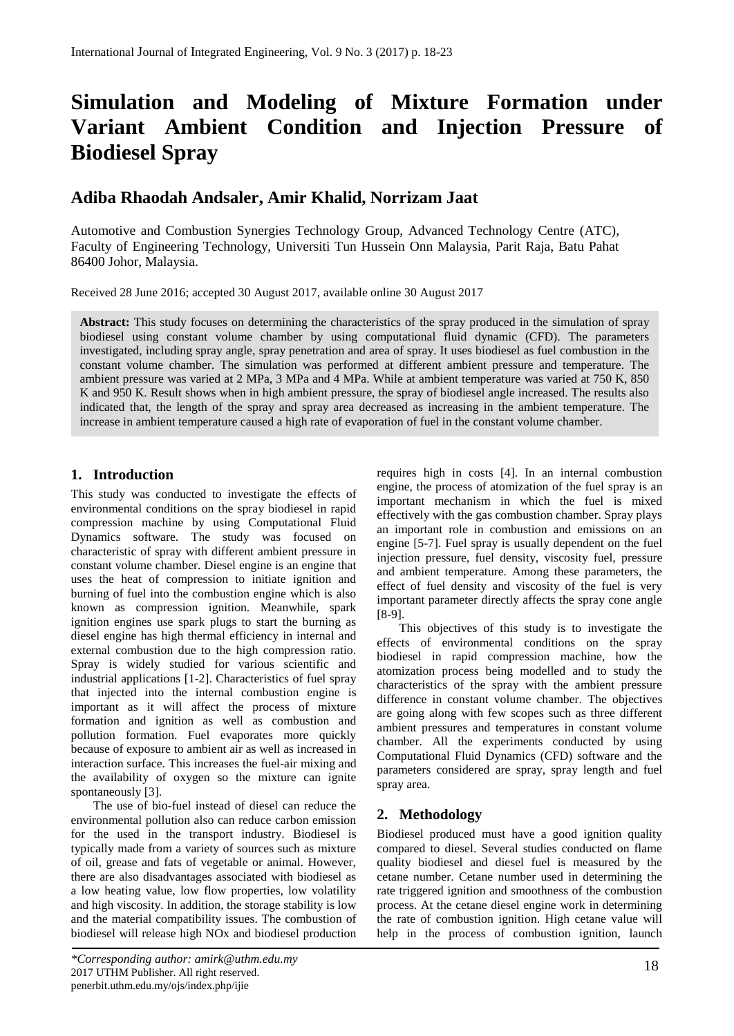# **Simulation and Modeling of Mixture Formation under Variant Ambient Condition and Injection Pressure of Biodiesel Spray**

# **Adiba Rhaodah Andsaler, Amir Khalid, Norrizam Jaat**

Automotive and Combustion Synergies Technology Group, Advanced Technology Centre (ATC), Faculty of Engineering Technology, Universiti Tun Hussein Onn Malaysia, Parit Raja, Batu Pahat 86400 Johor, Malaysia.

Received 28 June 2016; accepted 30 August 2017, available online 30 August 2017

Abstract: This study focuses on determining the characteristics of the spray produced in the simulation of spray biodiesel using constant volume chamber by using computational fluid dynamic (CFD). The parameters investigated, including spray angle, spray penetration and area of spray. It uses biodiesel as fuel combustion in the constant volume chamber. The simulation was performed at different ambient pressure and temperature. The ambient pressure was varied at 2 MPa, 3 MPa and 4 MPa. While at ambient temperature was varied at 750 K, 850 K and 950 K. Result shows when in high ambient pressure, the spray of biodiesel angle increased. The results also indicated that, the length of the spray and spray area decreased as increasing in the ambient temperature. The increase in ambient temperature caused a high rate of evaporation of fuel in the constant volume chamber.

# **1. Introduction**

This study was conducted to investigate the effects of environmental conditions on the spray biodiesel in rapid compression machine by using Computational Fluid Dynamics software. The study was focused on characteristic of spray with different ambient pressure in constant volume chamber. Diesel engine is an engine that uses the heat of compression to initiate ignition and burning of fuel into the combustion engine which is also known as compression ignition. Meanwhile, spark ignition engines use spark plugs to start the burning as diesel engine has high thermal efficiency in internal and external combustion due to the high compression ratio. Spray is widely studied for various scientific and industrial applications [1-2]. Characteristics of fuel spray that injected into the internal combustion engine is important as it will affect the process of mixture formation and ignition as well as combustion and pollution formation. Fuel evaporates more quickly because of exposure to ambient air as well as increased in interaction surface. This increases the fuel-air mixing and the availability of oxygen so the mixture can ignite spontaneously [3].

The use of bio-fuel instead of diesel can reduce the environmental pollution also can reduce carbon emission for the used in the transport industry. Biodiesel is typically made from a variety of sources such as mixture of oil, grease and fats of vegetable or animal. However, there are also disadvantages associated with biodiesel as a low heating value, low flow properties, low volatility and high viscosity. In addition, the storage stability is low and the material compatibility issues. The combustion of biodiesel will release high NOx and biodiesel production

requires high in costs [4]. In an internal combustion engine, the process of atomization of the fuel spray is an important mechanism in which the fuel is mixed effectively with the gas combustion chamber. Spray plays an important role in combustion and emissions on an engine [5-7]. Fuel spray is usually dependent on the fuel injection pressure, fuel density, viscosity fuel, pressure and ambient temperature. Among these parameters, the effect of fuel density and viscosity of the fuel is very important parameter directly affects the spray cone angle [8-9].

This objectives of this study is to investigate the effects of environmental conditions on the spray biodiesel in rapid compression machine, how the atomization process being modelled and to study the characteristics of the spray with the ambient pressure difference in constant volume chamber. The objectives are going along with few scopes such as three different ambient pressures and temperatures in constant volume chamber. All the experiments conducted by using Computational Fluid Dynamics (CFD) software and the parameters considered are spray, spray length and fuel spray area.

## **2. Methodology**

Biodiesel produced must have a good ignition quality compared to diesel. Several studies conducted on flame quality biodiesel and diesel fuel is measured by the cetane number. Cetane number used in determining the rate triggered ignition and smoothness of the combustion process. At the cetane diesel engine work in determining the rate of combustion ignition. High cetane value will help in the process of combustion ignition, launch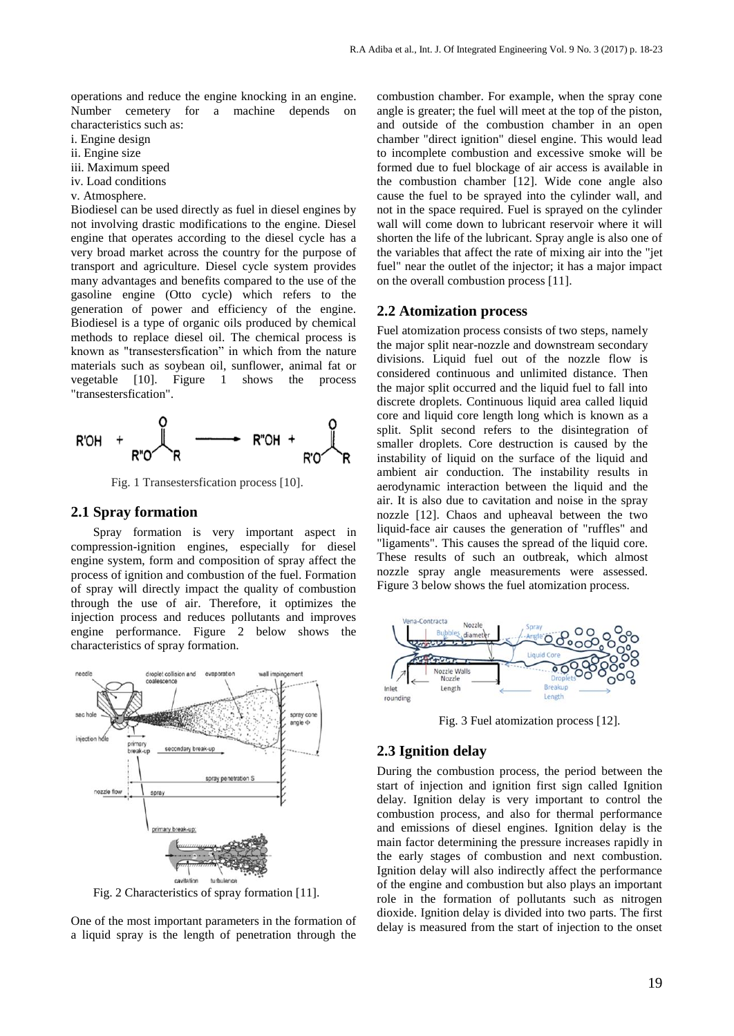operations and reduce the engine knocking in an engine. Number cemetery for a machine depends on characteristics such as:

- i. Engine design
- ii. Engine size
- iii. Maximum speed
- iv. Load conditions
- v. Atmosphere.

Biodiesel can be used directly as fuel in diesel engines by not involving drastic modifications to the engine. Diesel engine that operates according to the diesel cycle has a very broad market across the country for the purpose of transport and agriculture. Diesel cycle system provides many advantages and benefits compared to the use of the gasoline engine (Otto cycle) which refers to the generation of power and efficiency of the engine. Biodiesel is a type of organic oils produced by chemical methods to replace diesel oil. The chemical process is known as "transestersfication" in which from the nature materials such as soybean oil, sunflower, animal fat or vegetable [10]. Figure 1 shows the process "transestersfication".



Fig. 1 Transestersfication process [10].

## **2.1 Spray formation**

Spray formation is very important aspect in compression-ignition engines, especially for diesel engine system, form and composition of spray affect the process of ignition and combustion of the fuel. Formation of spray will directly impact the quality of combustion through the use of air. Therefore, it optimizes the injection process and reduces pollutants and improves engine performance. Figure 2 below shows the characteristics of spray formation.



Fig. 2 Characteristics of spray formation [11].

One of the most important parameters in the formation of a liquid spray is the length of penetration through the combustion chamber. For example, when the spray cone angle is greater; the fuel will meet at the top of the piston, and outside of the combustion chamber in an open chamber "direct ignition" diesel engine. This would lead to incomplete combustion and excessive smoke will be formed due to fuel blockage of air access is available in the combustion chamber [12]. Wide cone angle also cause the fuel to be sprayed into the cylinder wall, and not in the space required. Fuel is sprayed on the cylinder wall will come down to lubricant reservoir where it will shorten the life of the lubricant. Spray angle is also one of the variables that affect the rate of mixing air into the "jet fuel" near the outlet of the injector; it has a major impact on the overall combustion process [11].

#### **2.2 Atomization process**

Fuel atomization process consists of two steps, namely the major split near-nozzle and downstream secondary divisions. Liquid fuel out of the nozzle flow is considered continuous and unlimited distance. Then the major split occurred and the liquid fuel to fall into discrete droplets. Continuous liquid area called liquid core and liquid core length long which is known as a split. Split second refers to the disintegration of smaller droplets. Core destruction is caused by the instability of liquid on the surface of the liquid and ambient air conduction. The instability results in aerodynamic interaction between the liquid and the air. It is also due to cavitation and noise in the spray nozzle [12]. Chaos and upheaval between the two liquid-face air causes the generation of "ruffles" and "ligaments". This causes the spread of the liquid core. These results of such an outbreak, which almost nozzle spray angle measurements were assessed. Figure 3 below shows the fuel atomization process.



Fig. 3 Fuel atomization process [12].

## **2.3 Ignition delay**

During the combustion process, the period between the start of injection and ignition first sign called Ignition delay. Ignition delay is very important to control the combustion process, and also for thermal performance and emissions of diesel engines. Ignition delay is the main factor determining the pressure increases rapidly in the early stages of combustion and next combustion. Ignition delay will also indirectly affect the performance of the engine and combustion but also plays an important role in the formation of pollutants such as nitrogen dioxide. Ignition delay is divided into two parts. The first delay is measured from the start of injection to the onset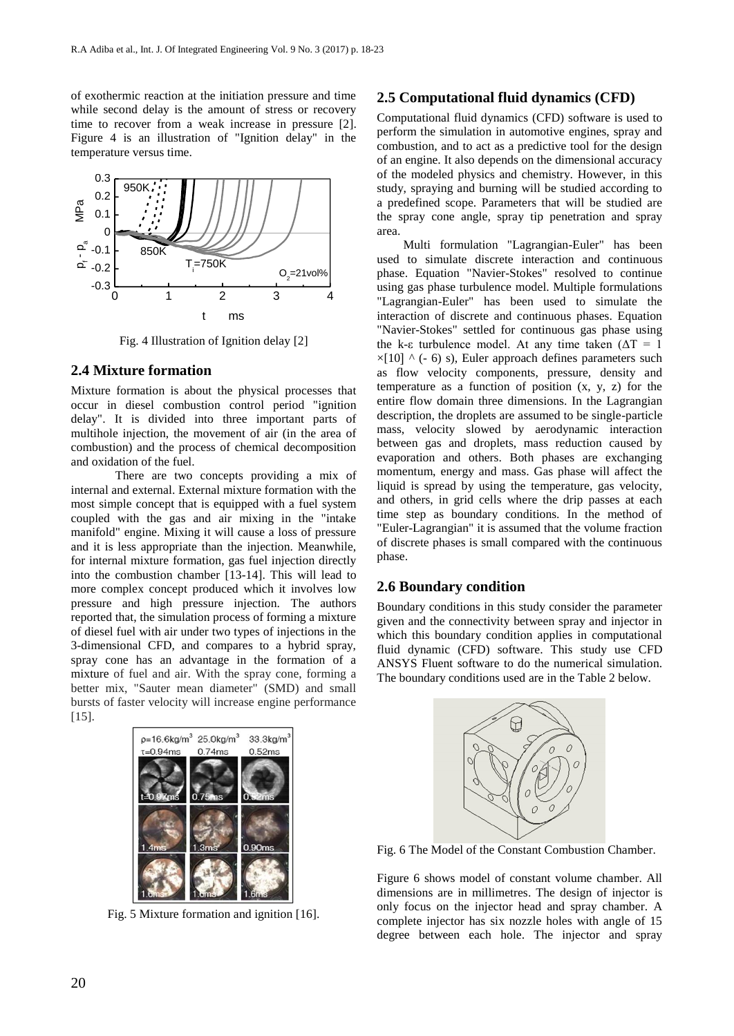of exothermic reaction at the initiation pressure and time while second delay is the amount of stress or recovery time to recover from a weak increase in pressure [2]. Figure 4 is an illustration of "Ignition delay" in the temperature versus time.



Fig. 4 Illustration of Ignition delay [2]

## **2.4 Mixture formation**

Mixture formation is about the physical processes that occur in diesel combustion control period "ignition delay". It is divided into three important parts of multihole injection, the movement of air (in the area of combustion) and the process of chemical decomposition and oxidation of the fuel.

There are two concepts providing a mix of internal and external. External mixture formation with the most simple concept that is equipped with a fuel system coupled with the gas and air mixing in the "intake manifold" engine. Mixing it will cause a loss of pressure and it is less appropriate than the injection. Meanwhile, for internal mixture formation, gas fuel injection directly into the combustion chamber [13-14]. This will lead to more complex concept produced which it involves low pressure and high pressure injection. The authors reported that, the simulation process of forming a mixture of diesel fuel with air under two types of injections in the 3-dimensional CFD, and compares to a hybrid spray, spray cone has an advantage in the formation of a mixture of fuel and air. With the spray cone, forming a better mix, "Sauter mean diameter" (SMD) and small bursts of faster velocity will increase engine performance [15].



Fig. 5 Mixture formation and ignition [16].

## **2.5 Computational fluid dynamics (CFD)**

Computational fluid dynamics (CFD) software is used to perform the simulation in automotive engines, spray and combustion, and to act as a predictive tool for the design of an engine. It also depends on the dimensional accuracy of the modeled physics and chemistry. However, in this study, spraying and burning will be studied according to a predefined scope. Parameters that will be studied are the spray cone angle, spray tip penetration and spray area.

Multi formulation "Lagrangian-Euler" has been used to simulate discrete interaction and continuous phase. Equation "Navier-Stokes" resolved to continue using gas phase turbulence model. Multiple formulations "Lagrangian-Euler" has been used to simulate the interaction of discrete and continuous phases. Equation "Navier-Stokes" settled for continuous gas phase using the k-ε turbulence model. At any time taken ( $ΔT = 1$ )  $\times$ [10]  $\wedge$  (- 6) s), Euler approach defines parameters such as flow velocity components, pressure, density and temperature as a function of position  $(x, y, z)$  for the entire flow domain three dimensions. In the Lagrangian description, the droplets are assumed to be single-particle mass, velocity slowed by aerodynamic interaction between gas and droplets, mass reduction caused by evaporation and others. Both phases are exchanging momentum, energy and mass. Gas phase will affect the liquid is spread by using the temperature, gas velocity, and others, in grid cells where the drip passes at each time step as boundary conditions. In the method of "Euler-Lagrangian" it is assumed that the volume fraction of discrete phases is small compared with the continuous phase.

## **2.6 Boundary condition**

Boundary conditions in this study consider the parameter given and the connectivity between spray and injector in which this boundary condition applies in computational fluid dynamic (CFD) software. This study use CFD ANSYS Fluent software to do the numerical simulation. The boundary conditions used are in the Table 2 below.



Fig. 6 The Model of the Constant Combustion Chamber.

Figure 6 shows model of constant volume chamber. All dimensions are in millimetres. The design of injector is only focus on the injector head and spray chamber. A complete injector has six nozzle holes with angle of 15 degree between each hole. The injector and spray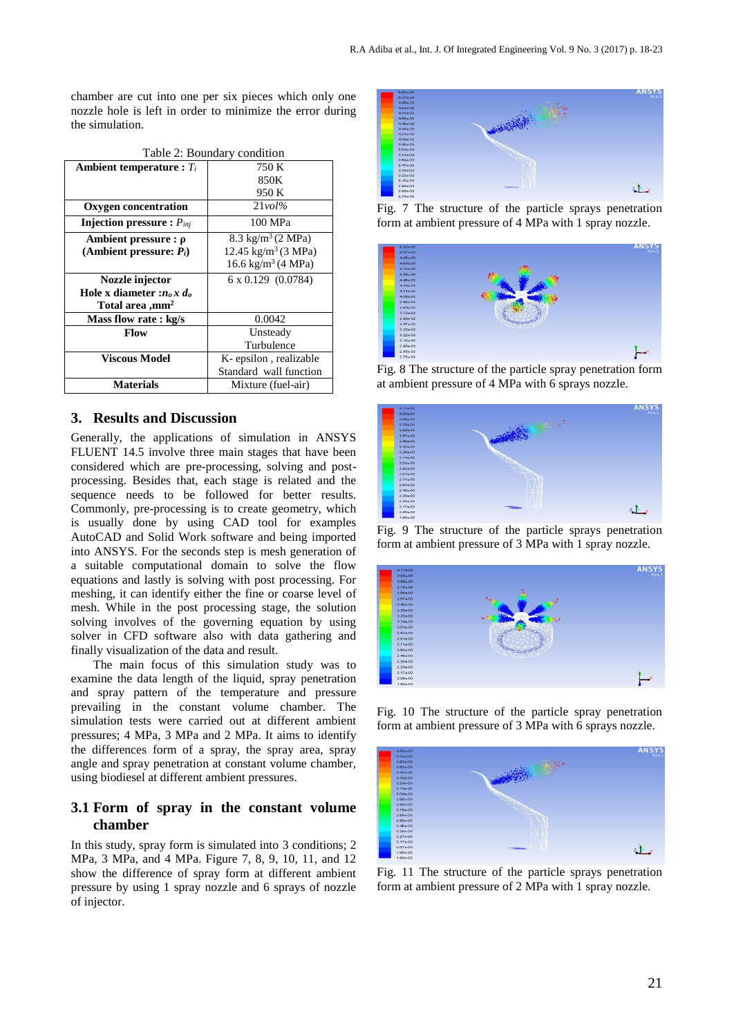chamber are cut into one per six pieces which only one nozzle hole is left in order to minimize the error during the simulation.

| <b>Ambient temperature :</b> $T_i$    | 750 K                           |
|---------------------------------------|---------------------------------|
|                                       | 850K                            |
|                                       | 950 K                           |
| Oxygen concentration                  | $21$ vol $\%$                   |
| <b>Injection pressure :</b> $P_{ini}$ | 100 MPa                         |
| Ambient pressure : $\rho$             | 8.3 kg/m <sup>3</sup> (2 MPa)   |
| (Ambient pressure: $P_i$ )            | 12.45 kg/m <sup>3</sup> (3 MPa) |
|                                       | 16.6 kg/m <sup>3</sup> (4 MPa)  |
| Nozzle injector                       | $6 \times 0.129$ (0.0784)       |
| Hole x diameter : $n_0 x d_0$         |                                 |
| Total area ,mm <sup>2</sup>           |                                 |
| Mass flow rate: kg/s                  | 0.0042                          |
| Flow                                  | Unsteady                        |
|                                       | Turbulence                      |
| Viscous Model                         | K-epsilon, realizable           |
|                                       | Standard wall function          |
| <b>Materials</b>                      | Mixture (fuel-air)              |

Table 2: Boundary condition

## **3. Results and Discussion**

Generally, the applications of simulation in ANSYS FLUENT 14.5 involve three main stages that have been considered which are pre-processing, solving and postprocessing. Besides that, each stage is related and the sequence needs to be followed for better results. Commonly, pre-processing is to create geometry, which is usually done by using CAD tool for examples AutoCAD and Solid Work software and being imported into ANSYS. For the seconds step is mesh generation of a suitable computational domain to solve the flow equations and lastly is solving with post processing. For meshing, it can identify either the fine or coarse level of mesh. While in the post processing stage, the solution solving involves of the governing equation by using solver in CFD software also with data gathering and finally visualization of the data and result.

The main focus of this simulation study was to examine the data length of the liquid, spray penetration and spray pattern of the temperature and pressure prevailing in the constant volume chamber. The simulation tests were carried out at different ambient pressures; 4 MPa, 3 MPa and 2 MPa. It aims to identify the differences form of a spray, the spray area, spray angle and spray penetration at constant volume chamber, using biodiesel at different ambient pressures.

## **3.1 Form of spray in the constant volume chamber**

In this study, spray form is simulated into 3 conditions; 2 MPa, 3 MPa, and 4 MPa. Figure 7, 8, 9, 10, 11, and 12 show the difference of spray form at different ambient pressure by using 1 spray nozzle and 6 sprays of nozzle of injector.



Fig. 7 The structure of the particle sprays penetration form at ambient pressure of 4 MPa with 1 spray nozzle.



Fig. 8 The structure of the particle spray penetration form at ambient pressure of 4 MPa with 6 sprays nozzle.



Fig. 9 The structure of the particle sprays penetration form at ambient pressure of 3 MPa with 1 spray nozzle.



Fig. 10 The structure of the particle spray penetration form at ambient pressure of 3 MPa with 6 sprays nozzle.



Fig. 11 The structure of the particle sprays penetration form at ambient pressure of 2 MPa with 1 spray nozzle.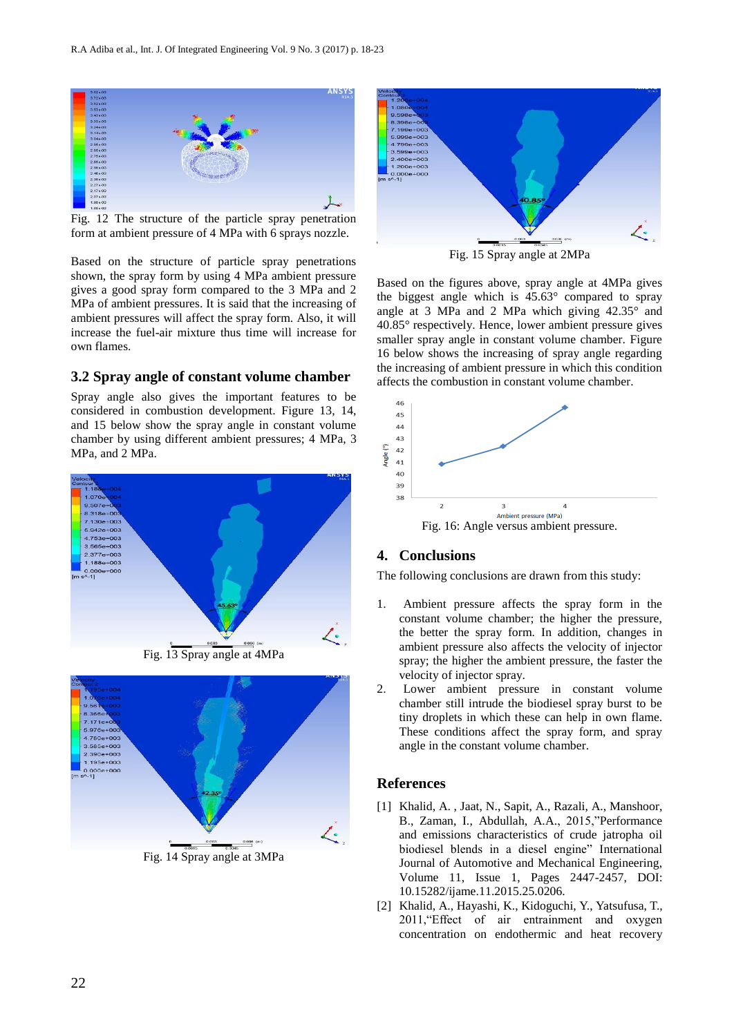

Fig. 12 The structure of the particle spray penetration form at ambient pressure of 4 MPa with 6 sprays nozzle.

Based on the structure of particle spray penetrations shown, the spray form by using 4 MPa ambient pressure gives a good spray form compared to the 3 MPa and 2 MPa of ambient pressures. It is said that the increasing of ambient pressures will affect the spray form. Also, it will increase the fuel-air mixture thus time will increase for own flames.

#### **3.2 Spray angle of constant volume chamber**

Spray angle also gives the important features to be considered in combustion development. Figure 13, 14, and 15 below show the spray angle in constant volume chamber by using different ambient pressures; 4 MPa, 3 MPa, and 2 MPa.



Fig. 13 Spray angle at 4MPa



 $\mathcal{L}_1$ 

Fig. 15 Spray angle at 2MPa

Based on the figures above, spray angle at 4MPa gives the biggest angle which is 45.63° compared to spray angle at 3 MPa and 2 MPa which giving 42.35° and 40.85° respectively. Hence, lower ambient pressure gives smaller spray angle in constant volume chamber. Figure 16 below shows the increasing of spray angle regarding the increasing of ambient pressure in which this condition affects the combustion in constant volume chamber.



## **4. Conclusions**

The following conclusions are drawn from this study:

- Ambient pressure affects the spray form in the constant volume chamber; the higher the pressure, the better the spray form. In addition, changes in ambient pressure also affects the velocity of injector spray; the higher the ambient pressure, the faster the velocity of injector spray.
- 2. Lower ambient pressure in constant volume chamber still intrude the biodiesel spray burst to be tiny droplets in which these can help in own flame. These conditions affect the spray form, and spray angle in the constant volume chamber.

### **References**

- [1] [Khalid, A.](http://www.scopus.com/authid/detail.url?authorId=55655797100&eid=2-s2.0-84937061354) , [Jaat, N.,](http://www.scopus.com/authid/detail.url?authorId=56500699400&eid=2-s2.0-84937061354) [Sapit, A.,](http://www.scopus.com/authid/detail.url?authorId=55173808600&eid=2-s2.0-84937061354) [Razali, A.,](http://www.scopus.com/authid/detail.url?authorId=56492641900&eid=2-s2.0-84937061354) [Manshoor,](http://www.scopus.com/authid/detail.url?authorId=37030004500&eid=2-s2.0-84937061354)  [B.,](http://www.scopus.com/authid/detail.url?authorId=37030004500&eid=2-s2.0-84937061354) [Zaman, I.,](http://www.scopus.com/authid/detail.url?authorId=36544499800&eid=2-s2.0-84937061354) [Abdullah, A.A.,](http://www.scopus.com/authid/detail.url?authorId=55702864300&eid=2-s2.0-84937061354) 2015,"Performance and emissions characteristics of crude jatropha oil biodiesel blends in a diesel engine" [International](http://www.scopus.com/source/sourceInfo.url?sourceId=21100235622&origin=recordpage)  [Journal of Automotive and Mechanical Engineering,](http://www.scopus.com/source/sourceInfo.url?sourceId=21100235622&origin=recordpage)  Volume 11, Issue 1, Pages 2447-2457, DOI: 10.15282/ijame.11.2015.25.0206.
- [2] Khalid, A., Hayashi, K., Kidoguchi, Y., Yatsufusa, T., 2011,"Effect of air entrainment and oxygen concentration on endothermic and heat recovery